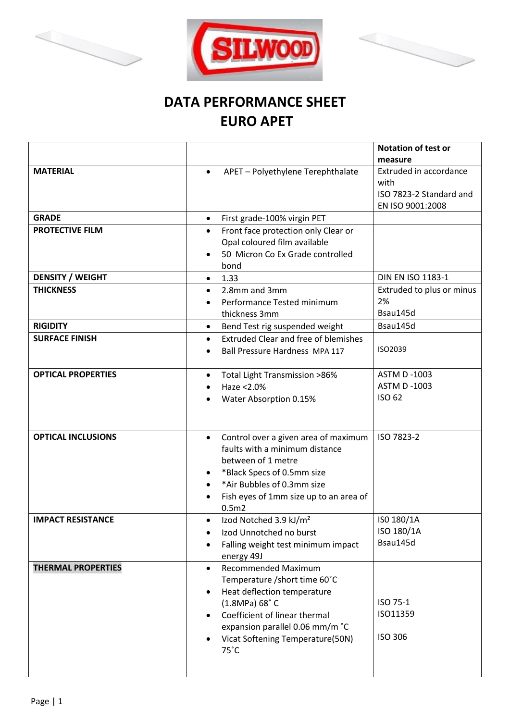





## **DATA PERFORMANCE SHEET EURO APET**

|                           |                                                                                                                                                                                                                                       | <b>Notation of test or</b>                                                    |
|---------------------------|---------------------------------------------------------------------------------------------------------------------------------------------------------------------------------------------------------------------------------------|-------------------------------------------------------------------------------|
|                           |                                                                                                                                                                                                                                       | measure                                                                       |
| <b>MATERIAL</b>           | APET - Polyethylene Terephthalate                                                                                                                                                                                                     | Extruded in accordance<br>with<br>ISO 7823-2 Standard and<br>EN ISO 9001:2008 |
| <b>GRADE</b>              | First grade-100% virgin PET<br>$\bullet$                                                                                                                                                                                              |                                                                               |
| <b>PROTECTIVE FILM</b>    | Front face protection only Clear or<br>$\bullet$<br>Opal coloured film available<br>50 Micron Co Ex Grade controlled<br>bond                                                                                                          |                                                                               |
| <b>DENSITY / WEIGHT</b>   | 1.33<br>$\bullet$                                                                                                                                                                                                                     | <b>DIN EN ISO 1183-1</b>                                                      |
| <b>THICKNESS</b>          | 2.8mm and 3mm<br>Performance Tested minimum<br>thickness 3mm                                                                                                                                                                          | Extruded to plus or minus<br>2%<br>Bsau145d                                   |
| <b>RIGIDITY</b>           | Bend Test rig suspended weight<br>$\bullet$                                                                                                                                                                                           | Bsau145d                                                                      |
| <b>SURFACE FINISH</b>     | <b>Extruded Clear and free of blemishes</b><br>$\bullet$<br>Ball Pressure Hardness MPA 117                                                                                                                                            | ISO2039                                                                       |
| <b>OPTICAL PROPERTIES</b> | Total Light Transmission >86%<br>$\bullet$<br>Haze <2.0%<br>Water Absorption 0.15%                                                                                                                                                    | <b>ASTM D -1003</b><br><b>ASTM D -1003</b><br><b>ISO 62</b>                   |
| <b>OPTICAL INCLUSIONS</b> | Control over a given area of maximum<br>$\bullet$<br>faults with a minimum distance<br>between of 1 metre<br>*Black Specs of 0.5mm size<br>*Air Bubbles of 0.3mm size<br>Fish eyes of 1mm size up to an area of<br>0.5 <sub>m2</sub>  | ISO 7823-2                                                                    |
| <b>IMPACT RESISTANCE</b>  | Izod Notched 3.9 kJ/m <sup>2</sup><br>Izod Unnotched no burst<br>Falling weight test minimum impact<br>energy 49J                                                                                                                     | ISO 180/1A<br>ISO 180/1A<br>Bsau145d                                          |
| <b>THERMAL PROPERTIES</b> | <b>Recommended Maximum</b><br>Temperature / short time 60°C<br>Heat deflection temperature<br>(1.8MPa) 68°C<br>Coefficient of linear thermal<br>expansion parallel 0.06 mm/m °C<br>Vicat Softening Temperature(50N)<br>$75^{\circ}$ C | ISO 75-1<br>ISO11359<br><b>ISO 306</b>                                        |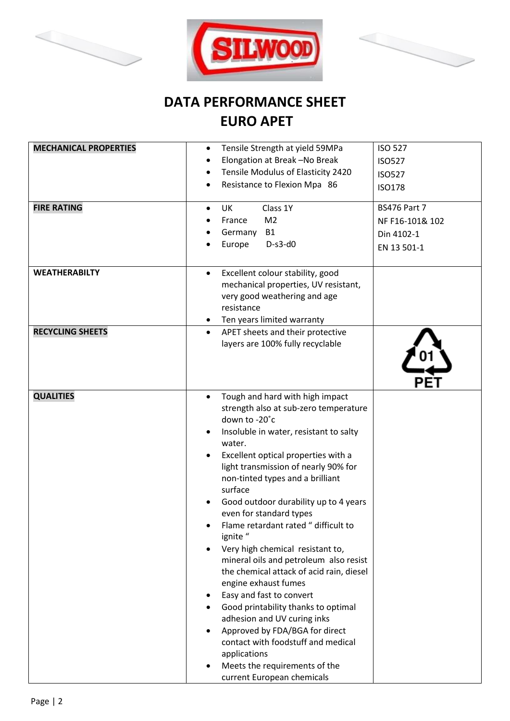





## **DATA PERFORMANCE SHEET EURO APET**

| <b>MECHANICAL PROPERTIES</b><br><b>FIRE RATING</b> | <b>ISO 527</b><br>Tensile Strength at yield 59MPa<br>$\bullet$<br>Elongation at Break -No Break<br><b>ISO527</b><br>Tensile Modulus of Elasticity 2420<br><b>ISO527</b><br>Resistance to Flexion Mpa 86<br><b>ISO178</b><br><b>BS476 Part 7</b><br>Class 1Y<br>UK<br>$\bullet$<br>M <sub>2</sub><br>France<br>NF F16-101& 102<br><b>B1</b><br>Germany<br>Din 4102-1<br>$D-s3-d0$<br>Europe<br>EN 13 501-1                                                                                                                                                                                                                                                                                                                                                                                                      |  |
|----------------------------------------------------|----------------------------------------------------------------------------------------------------------------------------------------------------------------------------------------------------------------------------------------------------------------------------------------------------------------------------------------------------------------------------------------------------------------------------------------------------------------------------------------------------------------------------------------------------------------------------------------------------------------------------------------------------------------------------------------------------------------------------------------------------------------------------------------------------------------|--|
| <b>WEATHERABILTY</b>                               | Excellent colour stability, good<br>mechanical properties, UV resistant,<br>very good weathering and age<br>resistance<br>Ten years limited warranty                                                                                                                                                                                                                                                                                                                                                                                                                                                                                                                                                                                                                                                           |  |
| <b>RECYCLING SHEETS</b>                            | APET sheets and their protective<br>$\bullet$<br>layers are 100% fully recyclable                                                                                                                                                                                                                                                                                                                                                                                                                                                                                                                                                                                                                                                                                                                              |  |
| <b>QUALITIES</b>                                   | Tough and hard with high impact<br>strength also at sub-zero temperature<br>down to -20°c<br>Insoluble in water, resistant to salty<br>water.<br>Excellent optical properties with a<br>light transmission of nearly 90% for<br>non-tinted types and a brilliant<br>surface<br>Good outdoor durability up to 4 years<br>even for standard types<br>Flame retardant rated " difficult to<br>ignite "<br>Very high chemical resistant to,<br>mineral oils and petroleum also resist<br>the chemical attack of acid rain, diesel<br>engine exhaust fumes<br>Easy and fast to convert<br>Good printability thanks to optimal<br>adhesion and UV curing inks<br>Approved by FDA/BGA for direct<br>contact with foodstuff and medical<br>applications<br>Meets the requirements of the<br>current European chemicals |  |